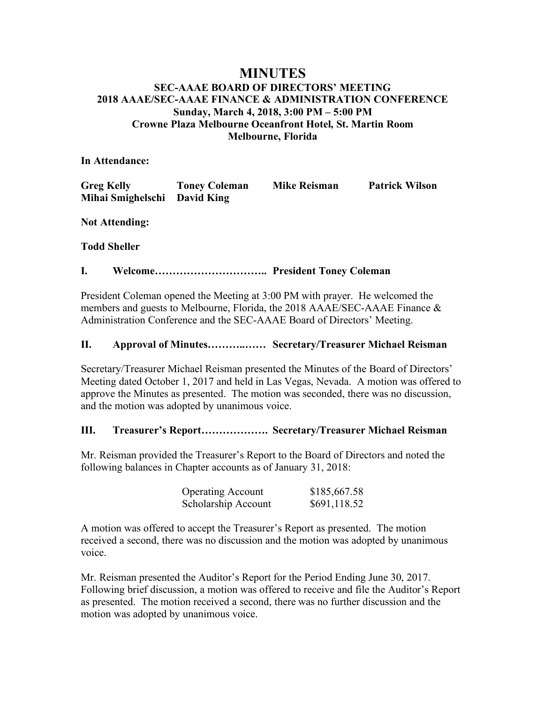# **MINUTES**

# **SEC-AAAE BOARD OF DIRECTORS' MEETING 2018 AAAE/SEC-AAAE FINANCE & ADMINISTRATION CONFERENCE Sunday, March 4, 2018, 3:00 PM – 5:00 PM Crowne Plaza Melbourne Oceanfront Hotel, St. Martin Room Melbourne, Florida**

**In Attendance:**

| <b>Greg Kelly</b>            | <b>Toney Coleman</b> | <b>Mike Reisman</b> | <b>Patrick Wilson</b> |
|------------------------------|----------------------|---------------------|-----------------------|
| Mihai Smighelschi David King |                      |                     |                       |

**Not Attending:**

# **Todd Sheller**

## **I. Welcome………………………….. President Toney Coleman**

President Coleman opened the Meeting at 3:00 PM with prayer. He welcomed the members and guests to Melbourne, Florida, the 2018 AAAE/SEC-AAAE Finance & Administration Conference and the SEC-AAAE Board of Directors' Meeting.

## **II. Approval of Minutes………..…… Secretary/Treasurer Michael Reisman**

Secretary/Treasurer Michael Reisman presented the Minutes of the Board of Directors' Meeting dated October 1, 2017 and held in Las Vegas, Nevada. A motion was offered to approve the Minutes as presented. The motion was seconded, there was no discussion, and the motion was adopted by unanimous voice.

# **III. Treasurer's Report………………. Secretary/Treasurer Michael Reisman**

Mr. Reisman provided the Treasurer's Report to the Board of Directors and noted the following balances in Chapter accounts as of January 31, 2018:

| <b>Operating Account</b> | \$185,667.58 |
|--------------------------|--------------|
| Scholarship Account      | \$691,118.52 |

A motion was offered to accept the Treasurer's Report as presented. The motion received a second, there was no discussion and the motion was adopted by unanimous voice.

Mr. Reisman presented the Auditor's Report for the Period Ending June 30, 2017. Following brief discussion, a motion was offered to receive and file the Auditor's Report as presented. The motion received a second, there was no further discussion and the motion was adopted by unanimous voice.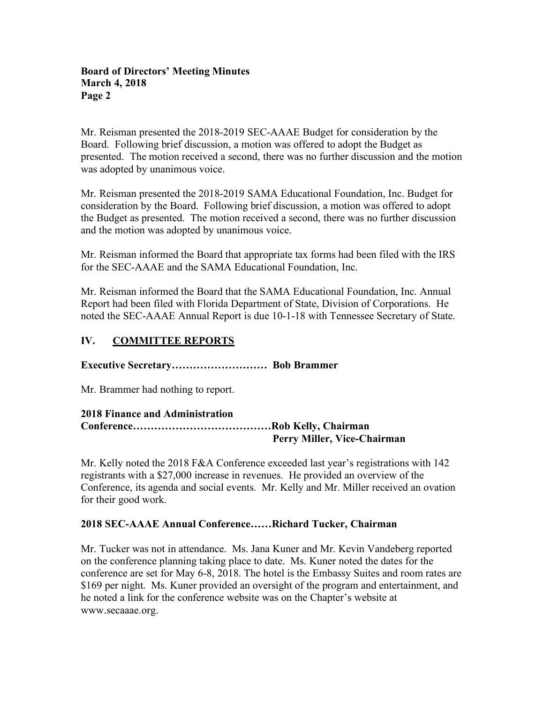Mr. Reisman presented the 2018-2019 SEC-AAAE Budget for consideration by the Board. Following brief discussion, a motion was offered to adopt the Budget as presented. The motion received a second, there was no further discussion and the motion was adopted by unanimous voice.

Mr. Reisman presented the 2018-2019 SAMA Educational Foundation, Inc. Budget for consideration by the Board. Following brief discussion, a motion was offered to adopt the Budget as presented. The motion received a second, there was no further discussion and the motion was adopted by unanimous voice.

Mr. Reisman informed the Board that appropriate tax forms had been filed with the IRS for the SEC-AAAE and the SAMA Educational Foundation, Inc.

Mr. Reisman informed the Board that the SAMA Educational Foundation, Inc. Annual Report had been filed with Florida Department of State, Division of Corporations. He noted the SEC-AAAE Annual Report is due 10-1-18 with Tennessee Secretary of State.

# **IV. COMMITTEE REPORTS**

**Executive Secretary……………………… Bob Brammer**

Mr. Brammer had nothing to report.

| <b>2018 Finance and Administration</b> |                             |
|----------------------------------------|-----------------------------|
|                                        |                             |
|                                        | Perry Miller, Vice-Chairman |

Mr. Kelly noted the 2018 F&A Conference exceeded last year's registrations with 142 registrants with a \$27,000 increase in revenues. He provided an overview of the Conference, its agenda and social events. Mr. Kelly and Mr. Miller received an ovation for their good work.

### **2018 SEC-AAAE Annual Conference……Richard Tucker, Chairman**

Mr. Tucker was not in attendance. Ms. Jana Kuner and Mr. Kevin Vandeberg reported on the conference planning taking place to date. Ms. Kuner noted the dates for the conference are set for May 6-8, 2018. The hotel is the Embassy Suites and room rates are \$169 per night. Ms. Kuner provided an oversight of the program and entertainment, and he noted a link for the conference website was on the Chapter's website at www.secaaae.org.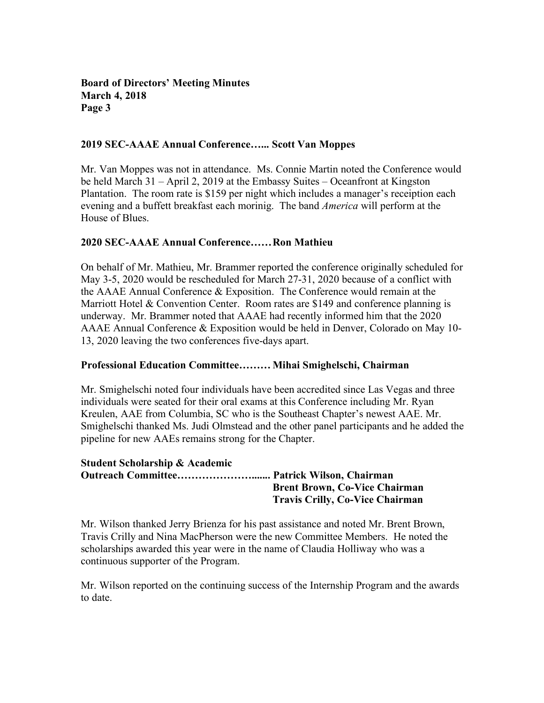### **2019 SEC-AAAE Annual Conference…... Scott Van Moppes**

Mr. Van Moppes was not in attendance. Ms. Connie Martin noted the Conference would be held March 31 – April 2, 2019 at the Embassy Suites – Oceanfront at Kingston Plantation. The room rate is \$159 per night which includes a manager's receiption each evening and a buffett breakfast each morinig. The band *America* will perform at the House of Blues.

### **2020 SEC-AAAE Annual Conference……Ron Mathieu**

On behalf of Mr. Mathieu, Mr. Brammer reported the conference originally scheduled for May 3-5, 2020 would be rescheduled for March 27-31, 2020 because of a conflict with the AAAE Annual Conference & Exposition. The Conference would remain at the Marriott Hotel & Convention Center. Room rates are \$149 and conference planning is underway. Mr. Brammer noted that AAAE had recently informed him that the 2020 AAAE Annual Conference & Exposition would be held in Denver, Colorado on May 10- 13, 2020 leaving the two conferences five-days apart.

#### **Professional Education Committee………Mihai Smighelschi, Chairman**

Mr. Smighelschi noted four individuals have been accredited since Las Vegas and three individuals were seated for their oral exams at this Conference including Mr. Ryan Kreulen, AAE from Columbia, SC who is the Southeast Chapter's newest AAE. Mr. Smighelschi thanked Ms. Judi Olmstead and the other panel participants and he added the pipeline for new AAEs remains strong for the Chapter.

### **Student Scholarship & Academic Outreach Committee…………………....... Patrick Wilson, Chairman Brent Brown, Co-Vice Chairman Travis Crilly, Co-Vice Chairman**

Mr. Wilson thanked Jerry Brienza for his past assistance and noted Mr. Brent Brown, Travis Crilly and Nina MacPherson were the new Committee Members. He noted the scholarships awarded this year were in the name of Claudia Holliway who was a continuous supporter of the Program.

Mr. Wilson reported on the continuing success of the Internship Program and the awards to date.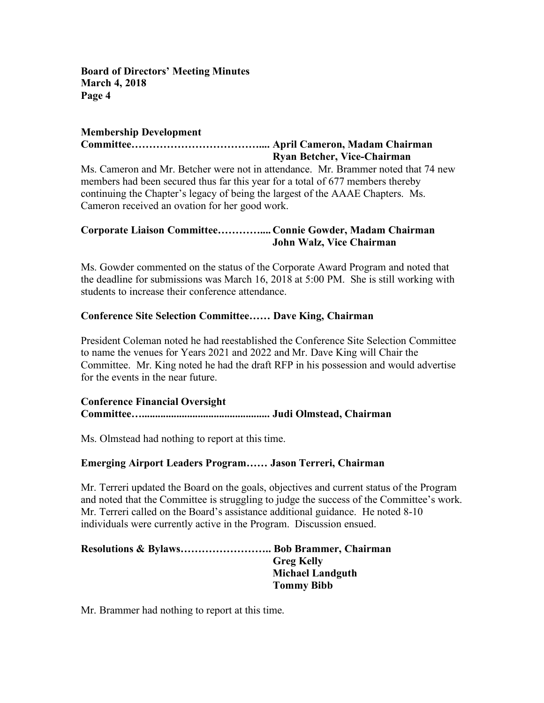# **Membership Development**

# **Committee……………………………….... April Cameron, Madam Chairman Ryan Betcher, Vice-Chairman**

Ms. Cameron and Mr. Betcher were not in attendance. Mr. Brammer noted that 74 new members had been secured thus far this year for a total of 677 members thereby continuing the Chapter's legacy of being the largest of the AAAE Chapters. Ms. Cameron received an ovation for her good work.

# **Corporate Liaison Committee………….... Connie Gowder, Madam Chairman John Walz, Vice Chairman**

Ms. Gowder commented on the status of the Corporate Award Program and noted that the deadline for submissions was March 16, 2018 at 5:00 PM. She is still working with students to increase their conference attendance.

# **Conference Site Selection Committee…… Dave King, Chairman**

President Coleman noted he had reestablished the Conference Site Selection Committee to name the venues for Years 2021 and 2022 and Mr. Dave King will Chair the Committee. Mr. King noted he had the draft RFP in his possession and would advertise for the events in the near future.

## **Conference Financial Oversight Committee…................................................ Judi Olmstead, Chairman**

Ms. Olmstead had nothing to report at this time.

# **Emerging Airport Leaders Program…… Jason Terreri, Chairman**

Mr. Terreri updated the Board on the goals, objectives and current status of the Program and noted that the Committee is struggling to judge the success of the Committee's work. Mr. Terreri called on the Board's assistance additional guidance. He noted 8-10 individuals were currently active in the Program. Discussion ensued.

**Resolutions & Bylaws…………………….. Bob Brammer, Chairman Greg Kelly Michael Landguth Tommy Bibb**

Mr. Brammer had nothing to report at this time.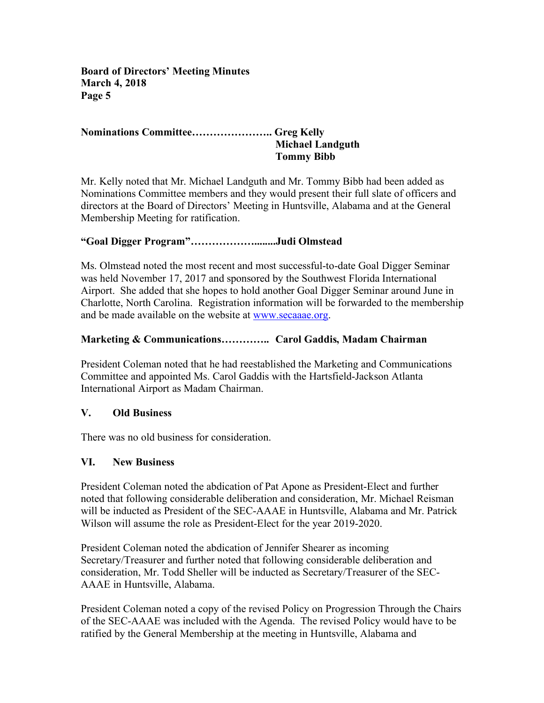## **Nominations Committee………………….. Greg Kelly Michael Landguth Tommy Bibb**

Mr. Kelly noted that Mr. Michael Landguth and Mr. Tommy Bibb had been added as Nominations Committee members and they would present their full slate of officers and directors at the Board of Directors' Meeting in Huntsville, Alabama and at the General Membership Meeting for ratification.

# **"Goal Digger Program"………………........Judi Olmstead**

Ms. Olmstead noted the most recent and most successful-to-date Goal Digger Seminar was held November 17, 2017 and sponsored by the Southwest Florida International Airport. She added that she hopes to hold another Goal Digger Seminar around June in Charlotte, North Carolina. Registration information will be forwarded to the membership and be made available on the website at www.secaaae.org.

# **Marketing & Communications………….. Carol Gaddis, Madam Chairman**

President Coleman noted that he had reestablished the Marketing and Communications Committee and appointed Ms. Carol Gaddis with the Hartsfield-Jackson Atlanta International Airport as Madam Chairman.

# **V. Old Business**

There was no old business for consideration.

# **VI. New Business**

President Coleman noted the abdication of Pat Apone as President-Elect and further noted that following considerable deliberation and consideration, Mr. Michael Reisman will be inducted as President of the SEC-AAAE in Huntsville, Alabama and Mr. Patrick Wilson will assume the role as President-Elect for the year 2019-2020.

President Coleman noted the abdication of Jennifer Shearer as incoming Secretary/Treasurer and further noted that following considerable deliberation and consideration, Mr. Todd Sheller will be inducted as Secretary/Treasurer of the SEC-AAAE in Huntsville, Alabama.

President Coleman noted a copy of the revised Policy on Progression Through the Chairs of the SEC-AAAE was included with the Agenda. The revised Policy would have to be ratified by the General Membership at the meeting in Huntsville, Alabama and